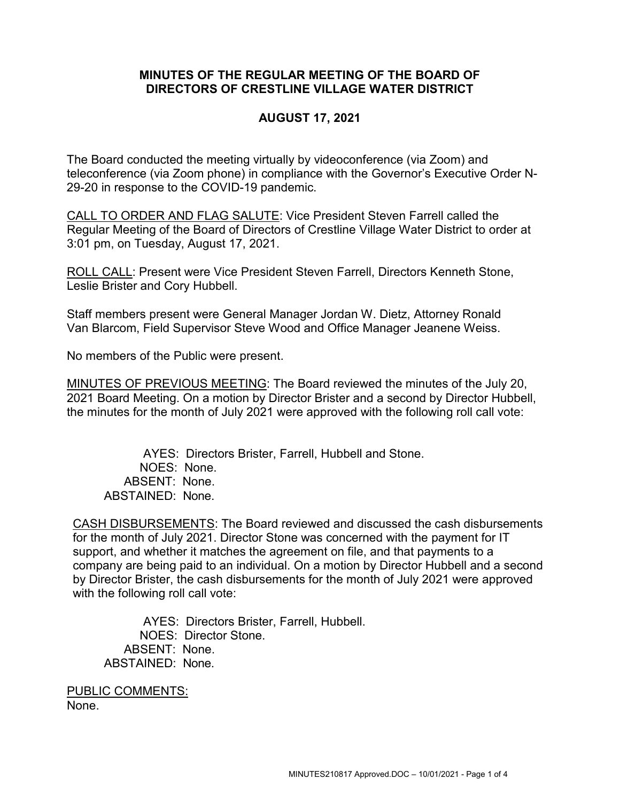## **MINUTES OF THE REGULAR MEETING OF THE BOARD OF DIRECTORS OF CRESTLINE VILLAGE WATER DISTRICT**

## **AUGUST 17, 2021**

The Board conducted the meeting virtually by videoconference (via Zoom) and teleconference (via Zoom phone) in compliance with the Governor's Executive Order N-29-20 in response to the COVID-19 pandemic.

CALL TO ORDER AND FLAG SALUTE: Vice President Steven Farrell called the Regular Meeting of the Board of Directors of Crestline Village Water District to order at 3:01 pm, on Tuesday, August 17, 2021.

ROLL CALL: Present were Vice President Steven Farrell, Directors Kenneth Stone, Leslie Brister and Cory Hubbell.

Staff members present were General Manager Jordan W. Dietz, Attorney Ronald Van Blarcom, Field Supervisor Steve Wood and Office Manager Jeanene Weiss.

No members of the Public were present.

MINUTES OF PREVIOUS MEETING: The Board reviewed the minutes of the July 20, 2021 Board Meeting. On a motion by Director Brister and a second by Director Hubbell, the minutes for the month of July 2021 were approved with the following roll call vote:

AYES: Directors Brister, Farrell, Hubbell and Stone. NOES: None. ABSENT: None. ABSTAINED: None.

CASH DISBURSEMENTS: The Board reviewed and discussed the cash disbursements for the month of July 2021. Director Stone was concerned with the payment for IT support, and whether it matches the agreement on file, and that payments to a company are being paid to an individual. On a motion by Director Hubbell and a second by Director Brister, the cash disbursements for the month of July 2021 were approved with the following roll call vote:

AYES: Directors Brister, Farrell, Hubbell. NOES: Director Stone. ABSENT: None. ABSTAINED: None.

PUBLIC COMMENTS: None.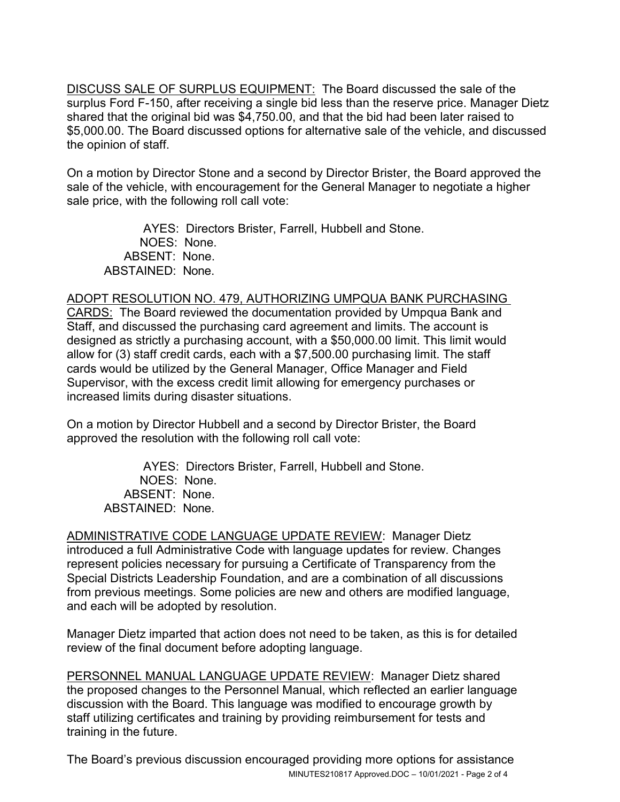DISCUSS SALE OF SURPLUS EQUIPMENT: The Board discussed the sale of the surplus Ford F-150, after receiving a single bid less than the reserve price. Manager Dietz shared that the original bid was \$4,750.00, and that the bid had been later raised to \$5,000.00. The Board discussed options for alternative sale of the vehicle, and discussed the opinion of staff.

On a motion by Director Stone and a second by Director Brister, the Board approved the sale of the vehicle, with encouragement for the General Manager to negotiate a higher sale price, with the following roll call vote:

AYES: Directors Brister, Farrell, Hubbell and Stone. NOES: None. ABSENT: None. ABSTAINED: None.

## ADOPT RESOLUTION NO. 479, AUTHORIZING UMPQUA BANK PURCHASING

CARDS: The Board reviewed the documentation provided by Umpqua Bank and Staff, and discussed the purchasing card agreement and limits. The account is designed as strictly a purchasing account, with a \$50,000.00 limit. This limit would allow for (3) staff credit cards, each with a \$7,500.00 purchasing limit. The staff cards would be utilized by the General Manager, Office Manager and Field Supervisor, with the excess credit limit allowing for emergency purchases or increased limits during disaster situations.

On a motion by Director Hubbell and a second by Director Brister, the Board approved the resolution with the following roll call vote:

AYES: Directors Brister, Farrell, Hubbell and Stone. NOES: None. ABSENT: None. ABSTAINED: None.

ADMINISTRATIVE CODE LANGUAGE UPDATE REVIEW: Manager Dietz introduced a full Administrative Code with language updates for review. Changes represent policies necessary for pursuing a Certificate of Transparency from the Special Districts Leadership Foundation, and are a combination of all discussions from previous meetings. Some policies are new and others are modified language, and each will be adopted by resolution.

Manager Dietz imparted that action does not need to be taken, as this is for detailed review of the final document before adopting language.

PERSONNEL MANUAL LANGUAGE UPDATE REVIEW: Manager Dietz shared the proposed changes to the Personnel Manual, which reflected an earlier language discussion with the Board. This language was modified to encourage growth by staff utilizing certificates and training by providing reimbursement for tests and training in the future.

MINUTES210817 Approved.DOC – 10/01/2021 - Page 2 of 4 The Board's previous discussion encouraged providing more options for assistance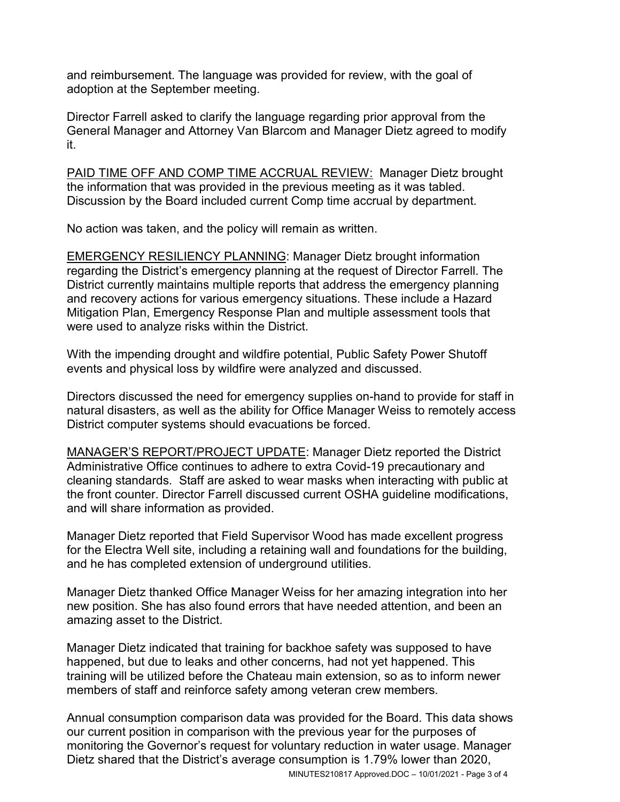and reimbursement. The language was provided for review, with the goal of adoption at the September meeting.

Director Farrell asked to clarify the language regarding prior approval from the General Manager and Attorney Van Blarcom and Manager Dietz agreed to modify it.

PAID TIME OFF AND COMP TIME ACCRUAL REVIEW: Manager Dietz brought the information that was provided in the previous meeting as it was tabled. Discussion by the Board included current Comp time accrual by department.

No action was taken, and the policy will remain as written.

EMERGENCY RESILIENCY PLANNING: Manager Dietz brought information regarding the District's emergency planning at the request of Director Farrell. The District currently maintains multiple reports that address the emergency planning and recovery actions for various emergency situations. These include a Hazard Mitigation Plan, Emergency Response Plan and multiple assessment tools that were used to analyze risks within the District.

With the impending drought and wildfire potential, Public Safety Power Shutoff events and physical loss by wildfire were analyzed and discussed.

Directors discussed the need for emergency supplies on-hand to provide for staff in natural disasters, as well as the ability for Office Manager Weiss to remotely access District computer systems should evacuations be forced.

MANAGER'S REPORT/PROJECT UPDATE: Manager Dietz reported the District Administrative Office continues to adhere to extra Covid-19 precautionary and cleaning standards. Staff are asked to wear masks when interacting with public at the front counter. Director Farrell discussed current OSHA guideline modifications, and will share information as provided.

Manager Dietz reported that Field Supervisor Wood has made excellent progress for the Electra Well site, including a retaining wall and foundations for the building, and he has completed extension of underground utilities.

Manager Dietz thanked Office Manager Weiss for her amazing integration into her new position. She has also found errors that have needed attention, and been an amazing asset to the District.

Manager Dietz indicated that training for backhoe safety was supposed to have happened, but due to leaks and other concerns, had not yet happened. This training will be utilized before the Chateau main extension, so as to inform newer members of staff and reinforce safety among veteran crew members.

Annual consumption comparison data was provided for the Board. This data shows our current position in comparison with the previous year for the purposes of monitoring the Governor's request for voluntary reduction in water usage. Manager Dietz shared that the District's average consumption is 1.79% lower than 2020,